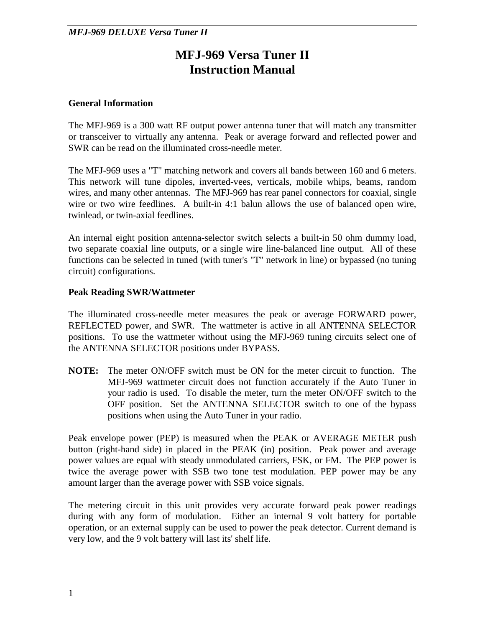# **MFJ-969 Versa Tuner II Instruction Manual**

#### **General Information**

The MFJ-969 is a 300 watt RF output power antenna tuner that will match any transmitter or transceiver to virtually any antenna. Peak or average forward and reflected power and SWR can be read on the illuminated cross-needle meter.

The MFJ-969 uses a "T" matching network and covers all bands between 160 and 6 meters. This network will tune dipoles, inverted-vees, verticals, mobile whips, beams, random wires, and many other antennas. The MFJ-969 has rear panel connectors for coaxial, single wire or two wire feedlines. A built-in 4:1 balun allows the use of balanced open wire, twinlead, or twin-axial feedlines.

An internal eight position antenna-selector switch selects a built-in 50 ohm dummy load, two separate coaxial line outputs, or a single wire line-balanced line output. All of these functions can be selected in tuned (with tuner's "T" network in line) or bypassed (no tuning circuit) configurations.

#### **Peak Reading SWR/Wattmeter**

The illuminated cross-needle meter measures the peak or average FORWARD power, REFLECTED power, and SWR. The wattmeter is active in all ANTENNA SELECTOR positions. To use the wattmeter without using the MFJ-969 tuning circuits select one of the ANTENNA SELECTOR positions under BYPASS.

**NOTE:** The meter ON/OFF switch must be ON for the meter circuit to function. The MFJ-969 wattmeter circuit does not function accurately if the Auto Tuner in your radio is used. To disable the meter, turn the meter ON/OFF switch to the OFF position. Set the ANTENNA SELECTOR switch to one of the bypass positions when using the Auto Tuner in your radio.

Peak envelope power (PEP) is measured when the PEAK or AVERAGE METER push button (right-hand side) in placed in the PEAK (in) position. Peak power and average power values are equal with steady unmodulated carriers, FSK, or FM. The PEP power is twice the average power with SSB two tone test modulation. PEP power may be any amount larger than the average power with SSB voice signals.

The metering circuit in this unit provides very accurate forward peak power readings during with any form of modulation. Either an internal 9 volt battery for portable operation, or an external supply can be used to power the peak detector. Current demand is very low, and the 9 volt battery will last its' shelf life.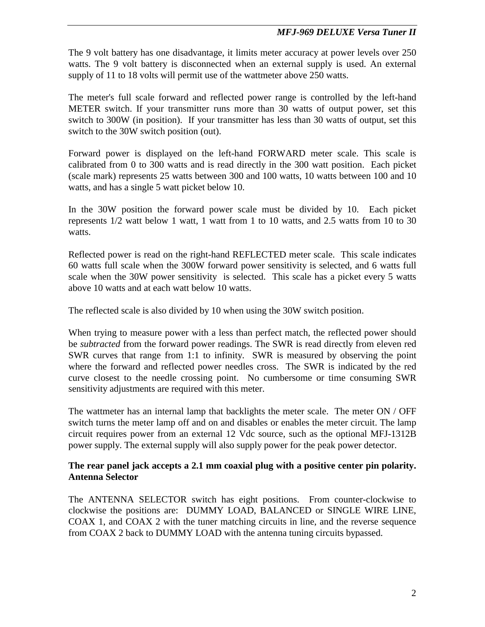The 9 volt battery has one disadvantage, it limits meter accuracy at power levels over 250 watts. The 9 volt battery is disconnected when an external supply is used. An external supply of 11 to 18 volts will permit use of the wattmeter above 250 watts.

The meter's full scale forward and reflected power range is controlled by the left-hand METER switch. If your transmitter runs more than 30 watts of output power, set this switch to 300W (in position). If your transmitter has less than 30 watts of output, set this switch to the 30W switch position (out).

Forward power is displayed on the left-hand FORWARD meter scale. This scale is calibrated from 0 to 300 watts and is read directly in the 300 watt position. Each picket (scale mark) represents 25 watts between 300 and 100 watts, 10 watts between 100 and 10 watts, and has a single 5 watt picket below 10.

In the 30W position the forward power scale must be divided by 10. Each picket represents 1/2 watt below 1 watt, 1 watt from 1 to 10 watts, and 2.5 watts from 10 to 30 watts.

Reflected power is read on the right-hand REFLECTED meter scale. This scale indicates 60 watts full scale when the 300W forward power sensitivity is selected, and 6 watts full scale when the 30W power sensitivity is selected. This scale has a picket every 5 watts above 10 watts and at each watt below 10 watts.

The reflected scale is also divided by 10 when using the 30W switch position.

When trying to measure power with a less than perfect match, the reflected power should be *subtracted* from the forward power readings. The SWR is read directly from eleven red SWR curves that range from 1:1 to infinity. SWR is measured by observing the point where the forward and reflected power needles cross. The SWR is indicated by the red curve closest to the needle crossing point. No cumbersome or time consuming SWR sensitivity adjustments are required with this meter.

The wattmeter has an internal lamp that backlights the meter scale. The meter  $ON / OFF$ switch turns the meter lamp off and on and disables or enables the meter circuit. The lamp circuit requires power from an external 12 Vdc source, such as the optional MFJ-1312B power supply. The external supply will also supply power for the peak power detector.

## **The rear panel jack accepts a 2.1 mm coaxial plug with a positive center pin polarity. Antenna Selector**

The ANTENNA SELECTOR switch has eight positions. From counter-clockwise to clockwise the positions are: DUMMY LOAD, BALANCED or SINGLE WIRE LINE, COAX 1, and COAX 2 with the tuner matching circuits in line, and the reverse sequence from COAX 2 back to DUMMY LOAD with the antenna tuning circuits bypassed.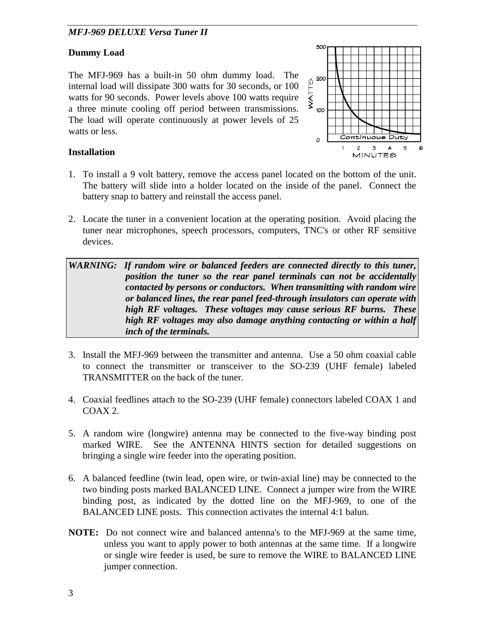## **Dummy Load**

The MFJ-969 has a built-in 50 ohm dummy load. The internal load will dissipate 300 watts for 30 seconds, or 100 watts for 90 seconds. Power levels above 100 watts require a three minute cooling off period between transmissions. The load will operate continuously at power levels of 25 watts or less.



## **Installation**

- 1. To install a 9 volt battery, remove the access panel located on the bottom of the unit. The battery will slide into a holder located on the inside of the panel. Connect the battery snap to battery and reinstall the access panel.
- 2. Locate the tuner in a convenient location at the operating position. Avoid placing the tuner near microphones, speech processors, computers, TNC's or other RF sensitive devices.

WARNING: If random wire or balanced feeders are connected directly to this tuner, *position the tuner so the rear panel terminals can not be accidentally contacted by persons or conductors. When transmitting with random wire or balanced lines, the rear panel feed-through insulators can operate with high RF voltages. These voltages may cause serious RF burns. These high RF voltages may also damage anything contacting or within a half inch of the terminals.* 

- 3. Install the MFJ-969 between the transmitter and antenna. Use a 50 ohm coaxial cable to connect the transmitter or transceiver to the SO-239 (UHF female) labeled TRANSMITTER on the back of the tuner.
- 4. Coaxial feedlines attach to the SO-239 (UHF female) connectors labeled COAX 1 and COAX 2.
- 5. A random wire (longwire) antenna may be connected to the five-way binding post marked WIRE. See the ANTENNA HINTS section for detailed suggestions on bringing a single wire feeder into the operating position.
- 6. A balanced feedline (twin lead, open wire, or twin-axial line) may be connected to the two binding posts marked BALANCED LINE. Connect a jumper wire from the WIRE binding post, as indicated by the dotted line on the MFJ-969, to one of the BALANCED LINE posts. This connection activates the internal 4:1 balun.
- **NOTE:** Do not connect wire and balanced antenna's to the MFJ-969 at the same time, unless you want to apply power to both antennas at the same time. If a longwire or single wire feeder is used, be sure to remove the WIRE to BALANCED LINE jumper connection.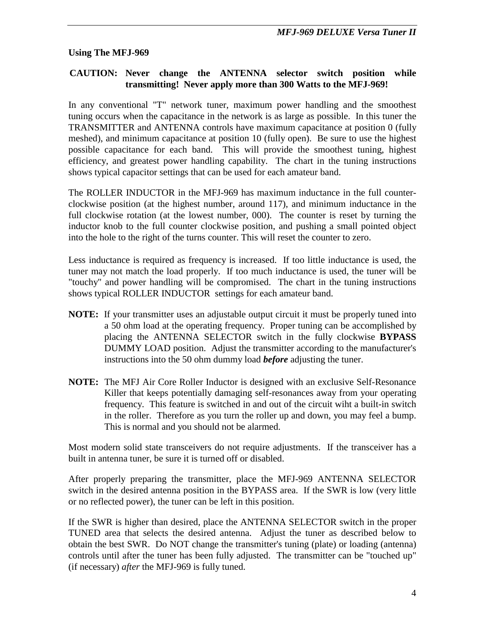#### **Using The MFJ-969**

#### **CAUTION: Never change the ANTENNA selector switch position while transmitting! Never apply more than 300 Watts to the MFJ-969!**

In any conventional "T" network tuner, maximum power handling and the smoothest tuning occurs when the capacitance in the network is as large as possible. In this tuner the TRANSMITTER and ANTENNA controls have maximum capacitance at position 0 (fully meshed), and minimum capacitance at position 10 (fully open). Be sure to use the highest possible capacitance for each band. This will provide the smoothest tuning, highest efficiency, and greatest power handling capability. The chart in the tuning instructions shows typical capacitor settings that can be used for each amateur band.

The ROLLER INDUCTOR in the MFJ-969 has maximum inductance in the full counterclockwise position (at the highest number, around 117), and minimum inductance in the full clockwise rotation (at the lowest number, 000). The counter is reset by turning the inductor knob to the full counter clockwise position, and pushing a small pointed object into the hole to the right of the turns counter. This will reset the counter to zero.

Less inductance is required as frequency is increased. If too little inductance is used, the tuner may not match the load properly. If too much inductance is used, the tuner will be "touchy" and power handling will be compromised. The chart in the tuning instructions shows typical ROLLER INDUCTOR settings for each amateur band.

- **NOTE:** If your transmitter uses an adjustable output circuit it must be properly tuned into a 50 ohm load at the operating frequency. Proper tuning can be accomplished by placing the ANTENNA SELECTOR switch in the fully clockwise **BYPASS** DUMMY LOAD position. Adjust the transmitter according to the manufacturer's instructions into the 50 ohm dummy load *before* adjusting the tuner.
- **NOTE:** The MFJ Air Core Roller Inductor is designed with an exclusive Self-Resonance Killer that keeps potentially damaging self-resonances away from your operating frequency. This feature is switched in and out of the circuit wiht a built-in switch in the roller. Therefore as you turn the roller up and down, you may feel a bump. This is normal and you should not be alarmed.

Most modern solid state transceivers do not require adjustments. If the transceiver has a built in antenna tuner, be sure it is turned off or disabled.

After properly preparing the transmitter, place the MFJ-969 ANTENNA SELECTOR switch in the desired antenna position in the BYPASS area. If the SWR is low (very little or no reflected power), the tuner can be left in this position.

If the SWR is higher than desired, place the ANTENNA SELECTOR switch in the proper TUNED area that selects the desired antenna. Adjust the tuner as described below to obtain the best SWR. Do NOT change the transmitter's tuning (plate) or loading (antenna) controls until after the tuner has been fully adjusted. The transmitter can be "touched up" (if necessary) *after* the MFJ-969 is fully tuned.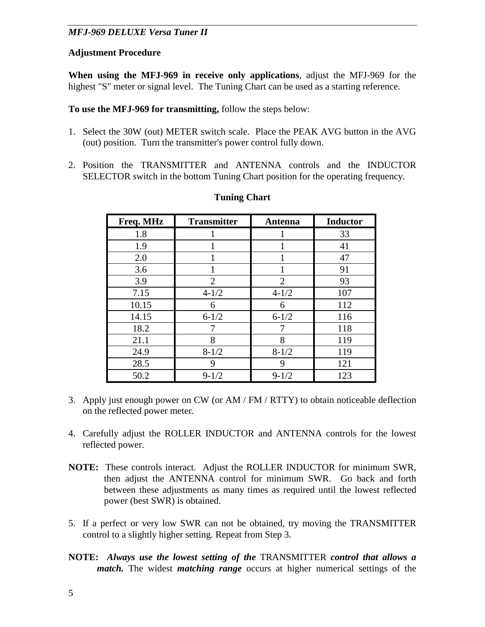## **Adjustment Procedure**

**When using the MFJ-969 in receive only applications**, adjust the MFJ-969 for the highest "S" meter or signal level. The Tuning Chart can be used as a starting reference.

**To use the MFJ-969 for transmitting,** follow the steps below:

- 1. Select the 30W (out) METER switch scale. Place the PEAK AVG button in the AVG (out) position. Turn the transmitter's power control fully down.
- 2. Position the TRANSMITTER and ANTENNA controls and the INDUCTOR SELECTOR switch in the bottom Tuning Chart position for the operating frequency.

| Freq. MHz | <b>Transmitter</b> | <b>Antenna</b> | <b>Inductor</b> |
|-----------|--------------------|----------------|-----------------|
| 1.8       |                    |                | 33              |
| 1.9       |                    |                | 41              |
| 2.0       |                    | 1              | 47              |
| 3.6       |                    |                | 91              |
| 3.9       | 2                  | $\overline{2}$ | 93              |
| 7.15      | $4 - 1/2$          | $4 - 1/2$      | 107             |
| 10.15     | 6                  | 6              | 112             |
| 14.15     | $6 - 1/2$          | $6 - 1/2$      | 116             |
| 18.2      |                    | 7              | 118             |
| 21.1      | 8                  | 8              | 119             |
| 24.9      | $8 - 1/2$          | $8 - 1/2$      | 119             |
| 28.5      | 9                  | 9              | 121             |
| 50.2      | $9 - 1/2$          | $9 - 1/2$      | 123             |

#### **Tuning Chart**

- 3. Apply just enough power on CW (or AM / FM / RTTY) to obtain noticeable deflection on the reflected power meter.
- 4. Carefully adjust the ROLLER INDUCTOR and ANTENNA controls for the lowest reflected power.
- **NOTE:** These controls interact. Adjust the ROLLER INDUCTOR for minimum SWR, then adjust the ANTENNA control for minimum SWR. Go back and forth between these adjustments as many times as required until the lowest reflected power (best SWR) is obtained.
- 5. If a perfect or very low SWR can not be obtained, try moving the TRANSMITTER control to a slightly higher setting. Repeat from Step 3.
- **NOTE:** *Always use the lowest setting of the* TRANSMITTER *control that allows a match.* The widest *matching range* occurs at higher numerical settings of the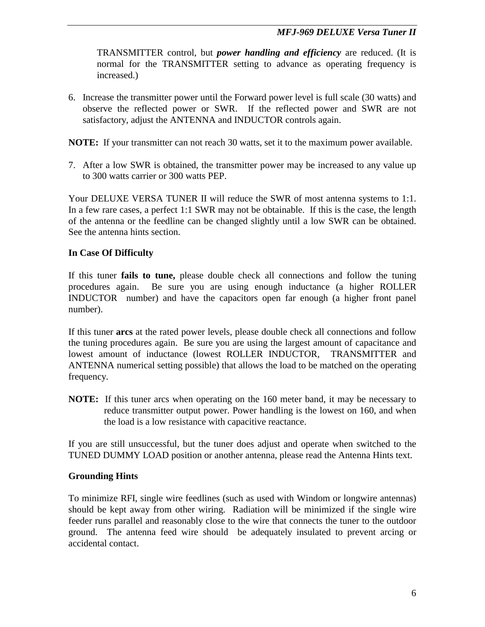TRANSMITTER control, but *power handling and efficiency* are reduced. (It is normal for the TRANSMITTER setting to advance as operating frequency is increased.)

6. Increase the transmitter power until the Forward power level is full scale (30 watts) and observe the reflected power or SWR. If the reflected power and SWR are not satisfactory, adjust the ANTENNA and INDUCTOR controls again.

**NOTE:** If your transmitter can not reach 30 watts, set it to the maximum power available.

7. After a low SWR is obtained, the transmitter power may be increased to any value up to 300 watts carrier or 300 watts PEP.

Your DELUXE VERSA TUNER II will reduce the SWR of most antenna systems to 1:1. In a few rare cases, a perfect 1:1 SWR may not be obtainable. If this is the case, the length of the antenna or the feedline can be changed slightly until a low SWR can be obtained. See the antenna hints section.

#### **In Case Of Difficulty**

If this tuner **fails to tune,** please double check all connections and follow the tuning procedures again. Be sure you are using enough inductance (a higher ROLLER INDUCTOR number) and have the capacitors open far enough (a higher front panel number).

If this tuner **arcs** at the rated power levels, please double check all connections and follow the tuning procedures again. Be sure you are using the largest amount of capacitance and lowest amount of inductance (lowest ROLLER INDUCTOR, TRANSMITTER and ANTENNA numerical setting possible) that allows the load to be matched on the operating frequency.

**NOTE:** If this tuner arcs when operating on the 160 meter band, it may be necessary to reduce transmitter output power. Power handling is the lowest on 160, and when the load is a low resistance with capacitive reactance.

If you are still unsuccessful, but the tuner does adjust and operate when switched to the TUNED DUMMY LOAD position or another antenna, please read the Antenna Hints text.

## **Grounding Hints**

To minimize RFI, single wire feedlines (such as used with Windom or longwire antennas) should be kept away from other wiring. Radiation will be minimized if the single wire feeder runs parallel and reasonably close to the wire that connects the tuner to the outdoor ground. The antenna feed wire should be adequately insulated to prevent arcing or accidental contact.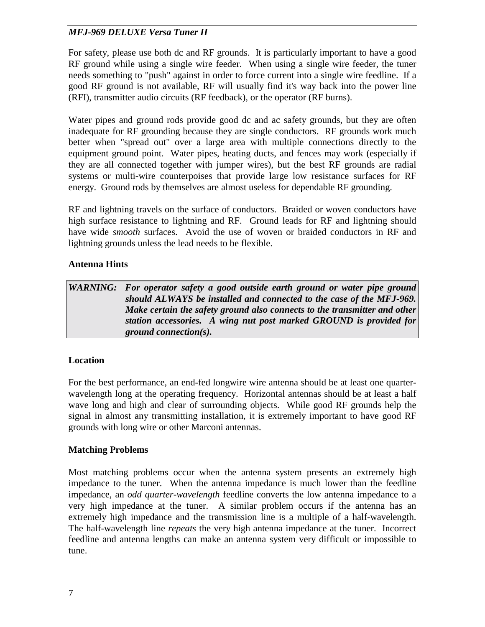For safety, please use both dc and RF grounds. It is particularly important to have a good RF ground while using a single wire feeder. When using a single wire feeder, the tuner needs something to "push" against in order to force current into a single wire feedline. If a good RF ground is not available, RF will usually find it's way back into the power line (RFI), transmitter audio circuits (RF feedback), or the operator (RF burns).

Water pipes and ground rods provide good dc and ac safety grounds, but they are often inadequate for RF grounding because they are single conductors. RF grounds work much better when "spread out" over a large area with multiple connections directly to the equipment ground point. Water pipes, heating ducts, and fences may work (especially if they are all connected together with jumper wires), but the best RF grounds are radial systems or multi-wire counterpoises that provide large low resistance surfaces for RF energy. Ground rods by themselves are almost useless for dependable RF grounding.

RF and lightning travels on the surface of conductors. Braided or woven conductors have high surface resistance to lightning and RF. Ground leads for RF and lightning should have wide *smooth* surfaces. Avoid the use of woven or braided conductors in RF and lightning grounds unless the lead needs to be flexible.

## **Antenna Hints**

*WARNING: For operator safety a good outside earth ground or water pipe ground should ALWAYS be installed and connected to the case of the MFJ-969. Make certain the safety ground also connects to the transmitter and other station accessories. A wing nut post marked GROUND is provided for ground connection(s).* 

## **Location**

For the best performance, an end-fed longwire wire antenna should be at least one quarterwavelength long at the operating frequency. Horizontal antennas should be at least a half wave long and high and clear of surrounding objects. While good RF grounds help the signal in almost any transmitting installation, it is extremely important to have good RF grounds with long wire or other Marconi antennas.

## **Matching Problems**

Most matching problems occur when the antenna system presents an extremely high impedance to the tuner. When the antenna impedance is much lower than the feedline impedance, an *odd quarter-wavelength* feedline converts the low antenna impedance to a very high impedance at the tuner. A similar problem occurs if the antenna has an extremely high impedance and the transmission line is a multiple of a half-wavelength. The half-wavelength line *repeats* the very high antenna impedance at the tuner. Incorrect feedline and antenna lengths can make an antenna system very difficult or impossible to tune.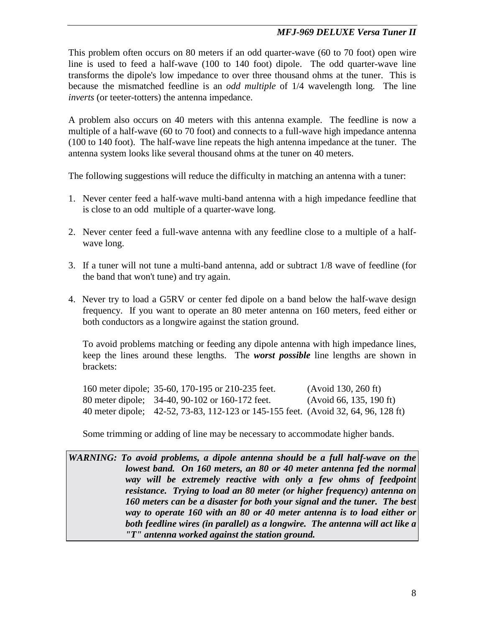This problem often occurs on 80 meters if an odd quarter-wave (60 to 70 foot) open wire line is used to feed a half-wave (100 to 140 foot) dipole. The odd quarter-wave line transforms the dipole's low impedance to over three thousand ohms at the tuner. This is because the mismatched feedline is an *odd multiple* of 1/4 wavelength long. The line *inverts* (or teeter-totters) the antenna impedance.

A problem also occurs on 40 meters with this antenna example. The feedline is now a multiple of a half-wave (60 to 70 foot) and connects to a full-wave high impedance antenna (100 to 140 foot). The half-wave line repeats the high antenna impedance at the tuner. The antenna system looks like several thousand ohms at the tuner on 40 meters.

The following suggestions will reduce the difficulty in matching an antenna with a tuner:

- 1. Never center feed a half-wave multi-band antenna with a high impedance feedline that is close to an odd multiple of a quarter-wave long.
- 2. Never center feed a full-wave antenna with any feedline close to a multiple of a halfwave long.
- 3. If a tuner will not tune a multi-band antenna, add or subtract 1/8 wave of feedline (for the band that won't tune) and try again.
- 4. Never try to load a G5RV or center fed dipole on a band below the half-wave design frequency. If you want to operate an 80 meter antenna on 160 meters, feed either or both conductors as a longwire against the station ground.

 To avoid problems matching or feeding any dipole antenna with high impedance lines, keep the lines around these lengths. The *worst possible* line lengths are shown in brackets:

|  | 160 meter dipole; 35-60, 170-195 or 210-235 feet.                                  | (Avoid 130, 260 ft)     |
|--|------------------------------------------------------------------------------------|-------------------------|
|  | 80 meter dipole; 34-40, 90-102 or 160-172 feet.                                    | (Avoid 66, 135, 190 ft) |
|  | 40 meter dipole; 42-52, 73-83, 112-123 or 145-155 feet. (Avoid 32, 64, 96, 128 ft) |                         |

Some trimming or adding of line may be necessary to accommodate higher bands.

*WARNING: To avoid problems, a dipole antenna should be a full half-wave on the lowest band. On 160 meters, an 80 or 40 meter antenna fed the normal way will be extremely reactive with only a few ohms of feedpoint resistance. Trying to load an 80 meter (or higher frequency) antenna on 160 meters can be a disaster for both your signal and the tuner. The best way to operate 160 with an 80 or 40 meter antenna is to load either or both feedline wires (in parallel) as a longwire. The antenna will act like a "T" antenna worked against the station ground.*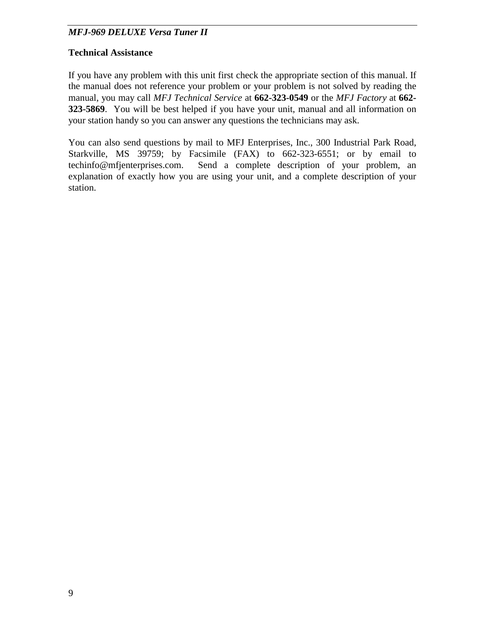## **Technical Assistance**

If you have any problem with this unit first check the appropriate section of this manual. If the manual does not reference your problem or your problem is not solved by reading the manual, you may call *MFJ Technical Service* at **662-323-0549** or the *MFJ Factory* at **662- 323-5869**. You will be best helped if you have your unit, manual and all information on your station handy so you can answer any questions the technicians may ask.

You can also send questions by mail to MFJ Enterprises, Inc., 300 Industrial Park Road, Starkville, MS 39759; by Facsimile (FAX) to 662-323-6551; or by email to techinfo@mfjenterprises.com. Send a complete description of your problem, an explanation of exactly how you are using your unit, and a complete description of your station.